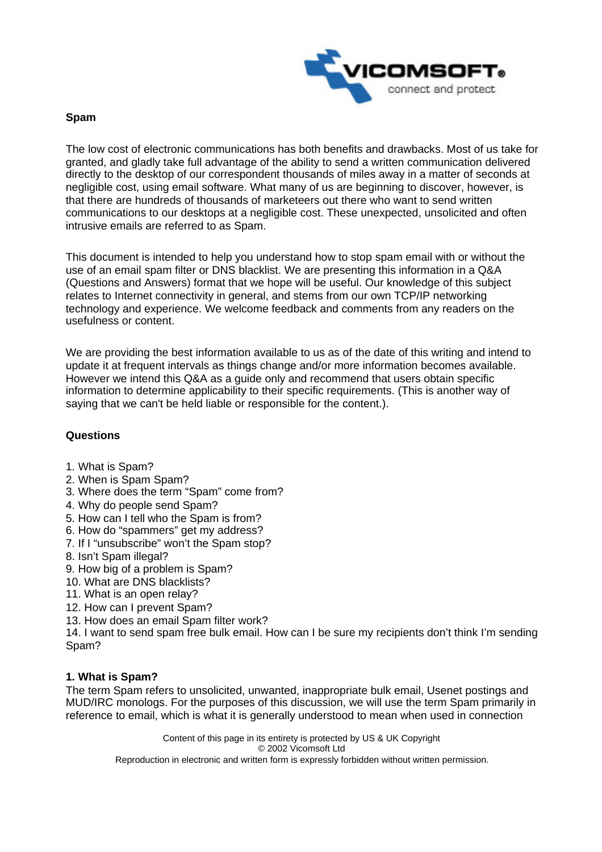

### **Spam**

The low cost of electronic communications has both benefits and drawbacks. Most of us take for granted, and gladly take full advantage of the ability to send a written communication delivered directly to the desktop of our correspondent thousands of miles away in a matter of seconds at negligible cost, using email software. What many of us are beginning to discover, however, is that there are hundreds of thousands of marketeers out there who want to send written communications to our desktops at a negligible cost. These unexpected, unsolicited and often intrusive emails are referred to as Spam.

This document is intended to help you understand how to stop spam email with or without the use of an email spam filter or DNS blacklist. We are presenting this information in a Q&A (Questions and Answers) format that we hope will be useful. Our knowledge of this subject relates to Internet connectivity in general, and stems from our own TCP/IP networking technology and experience. We welcome feedback and comments from any readers on the usefulness or content.

We are providing the best information available to us as of the date of this writing and intend to update it at frequent intervals as things change and/or more information becomes available. However we intend this Q&A as a guide only and recommend that users obtain specific information to determine applicability to their specific requirements. (This is another way of saying that we can't be held liable or responsible for the content.).

# **Questions**

- 1. What is Spam?
- 2. When is Spam Spam?
- 3. Where does the term "Spam" come from?
- 4. Why do people send Spam?
- 5. How can I tell who the Spam is from?
- 6. How do "spammers" get my address?
- 7. If I "unsubscribe" won't the Spam stop?
- 8. Isn't Spam illegal?
- 9. How big of a problem is Spam?
- 10. What are DNS blacklists?
- 11. What is an open relay?
- 12. How can I prevent Spam?
- 13. How does an email Spam filter work?

14. I want to send spam free bulk email. How can I be sure my recipients don't think I'm sending Spam?

# **1. What is Spam?**

The term Spam refers to unsolicited, unwanted, inappropriate bulk email, Usenet postings and MUD/IRC monologs. For the purposes of this discussion, we will use the term Spam primarily in reference to email, which is what it is generally understood to mean when used in connection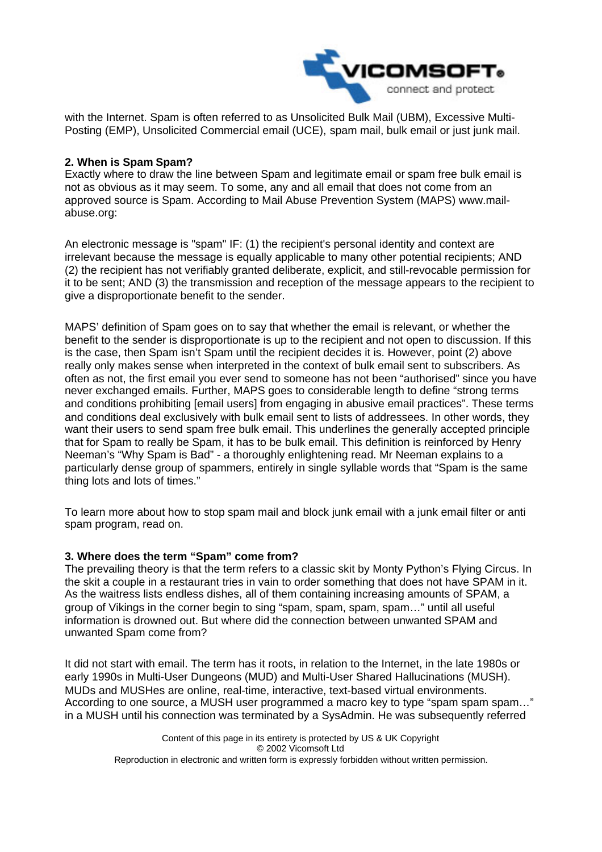

with the Internet. Spam is often referred to as Unsolicited Bulk Mail (UBM), Excessive Multi-Posting (EMP), Unsolicited Commercial email (UCE), spam mail, bulk email or just junk mail.

### **2. When is Spam Spam?**

Exactly where to draw the line between Spam and legitimate email or spam free bulk email is not as obvious as it may seem. To some, any and all email that does not come from an approved source is Spam. According to Mail Abuse Prevention System (MAPS) www.mailabuse.org:

An electronic message is "spam" IF: (1) the recipient's personal identity and context are irrelevant because the message is equally applicable to many other potential recipients; AND (2) the recipient has not verifiably granted deliberate, explicit, and still-revocable permission for it to be sent; AND (3) the transmission and reception of the message appears to the recipient to give a disproportionate benefit to the sender.

MAPS' definition of Spam goes on to say that whether the email is relevant, or whether the benefit to the sender is disproportionate is up to the recipient and not open to discussion. If this is the case, then Spam isn't Spam until the recipient decides it is. However, point (2) above really only makes sense when interpreted in the context of bulk email sent to subscribers. As often as not, the first email you ever send to someone has not been "authorised" since you have never exchanged emails. Further, MAPS goes to considerable length to define "strong terms and conditions prohibiting [email users] from engaging in abusive email practices". These terms and conditions deal exclusively with bulk email sent to lists of addressees. In other words, they want their users to send spam free bulk email. This underlines the generally accepted principle that for Spam to really be Spam, it has to be bulk email. This definition is reinforced by Henry Neeman's "Why Spam is Bad" - a thoroughly enlightening read. Mr Neeman explains to a particularly dense group of spammers, entirely in single syllable words that "Spam is the same thing lots and lots of times."

To learn more about how to stop spam mail and block junk email with a junk email filter or anti spam program, read on.

#### **3. Where does the term "Spam" come from?**

The prevailing theory is that the term refers to a classic skit by Monty Python's Flying Circus. In the skit a couple in a restaurant tries in vain to order something that does not have SPAM in it. As the waitress lists endless dishes, all of them containing increasing amounts of SPAM, a group of Vikings in the corner begin to sing "spam, spam, spam, spam…" until all useful information is drowned out. But where did the connection between unwanted SPAM and unwanted Spam come from?

It did not start with email. The term has it roots, in relation to the Internet, in the late 1980s or early 1990s in Multi-User Dungeons (MUD) and Multi-User Shared Hallucinations (MUSH). MUDs and MUSHes are online, real-time, interactive, text-based virtual environments. According to one source, a MUSH user programmed a macro key to type "spam spam spam…" in a MUSH until his connection was terminated by a SysAdmin. He was subsequently referred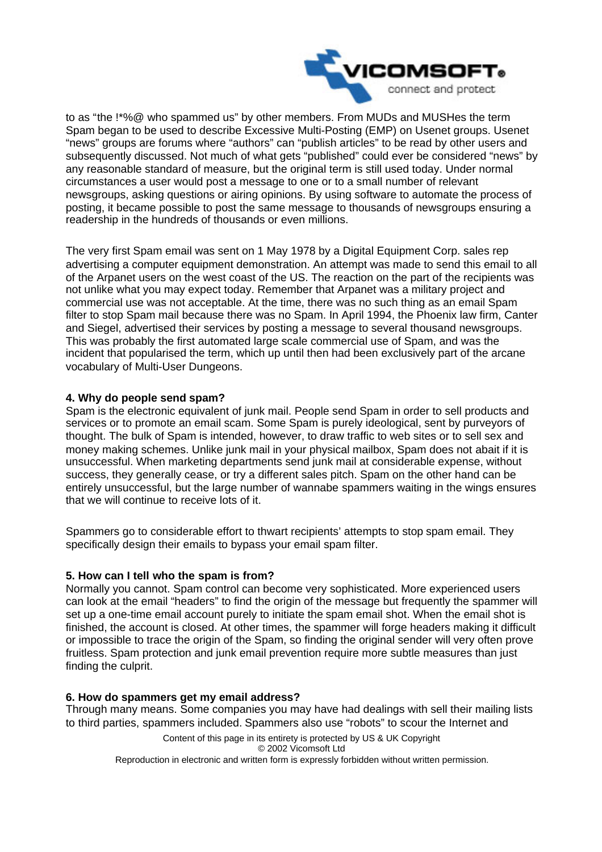

to as "the [!\\*%@](mailto:!*%@) who spammed us" by other members. From MUDs and MUSHes the term Spam began to be used to describe Excessive Multi-Posting (EMP) on Usenet groups. Usenet "news" groups are forums where "authors" can "publish articles" to be read by other users and subsequently discussed. Not much of what gets "published" could ever be considered "news" by any reasonable standard of measure, but the original term is still used today. Under normal circumstances a user would post a message to one or to a small number of relevant newsgroups, asking questions or airing opinions. By using software to automate the process of posting, it became possible to post the same message to thousands of newsgroups ensuring a readership in the hundreds of thousands or even millions.

The very first Spam email was sent on 1 May 1978 by a Digital Equipment Corp. sales rep advertising a computer equipment demonstration. An attempt was made to send this email to all of the Arpanet users on the west coast of the US. The reaction on the part of the recipients was not unlike what you may expect today. Remember that Arpanet was a military project and commercial use was not acceptable. At the time, there was no such thing as an email Spam filter to stop Spam mail because there was no Spam. In April 1994, the Phoenix law firm, Canter and Siegel, advertised their services by posting a message to several thousand newsgroups. This was probably the first automated large scale commercial use of Spam, and was the incident that popularised the term, which up until then had been exclusively part of the arcane vocabulary of Multi-User Dungeons.

# **4. Why do people send spam?**

Spam is the electronic equivalent of junk mail. People send Spam in order to sell products and services or to promote an email scam. Some Spam is purely ideological, sent by purveyors of thought. The bulk of Spam is intended, however, to draw traffic to web sites or to sell sex and money making schemes. Unlike junk mail in your physical mailbox, Spam does not abait if it is unsuccessful. When marketing departments send junk mail at considerable expense, without success, they generally cease, or try a different sales pitch. Spam on the other hand can be entirely unsuccessful, but the large number of wannabe spammers waiting in the wings ensures that we will continue to receive lots of it.

Spammers go to considerable effort to thwart recipients' attempts to stop spam email. They specifically design their emails to bypass your email spam filter.

# **5. How can I tell who the spam is from?**

Normally you cannot. Spam control can become very sophisticated. More experienced users can look at the email "headers" to find the origin of the message but frequently the spammer will set up a one-time email account purely to initiate the spam email shot. When the email shot is finished, the account is closed. At other times, the spammer will forge headers making it difficult or impossible to trace the origin of the Spam, so finding the original sender will very often prove fruitless. Spam protection and junk email prevention require more subtle measures than just finding the culprit.

# **6. How do spammers get my email address?**

Through many means. Some companies you may have had dealings with sell their mailing lists to third parties, spammers included. Spammers also use "robots" to scour the Internet and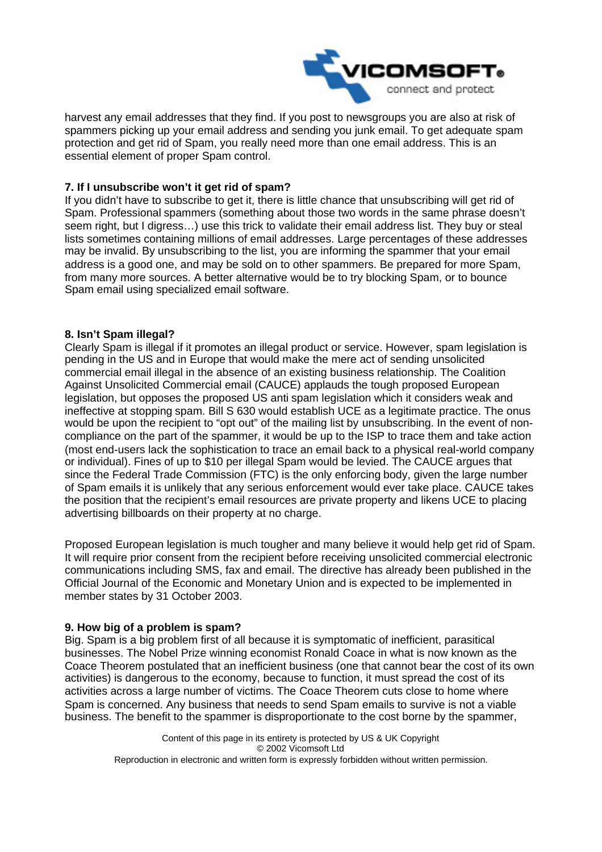

harvest any email addresses that they find. If you post to newsgroups you are also at risk of spammers picking up your email address and sending you junk email. To get adequate spam protection and get rid of Spam, you really need more than one email address. This is an essential element of proper Spam control.

# **7. If I unsubscribe won't it get rid of spam?**

If you didn't have to subscribe to get it, there is little chance that unsubscribing will get rid of Spam. Professional spammers (something about those two words in the same phrase doesn't seem right, but I digress…) use this trick to validate their email address list. They buy or steal lists sometimes containing millions of email addresses. Large percentages of these addresses may be invalid. By unsubscribing to the list, you are informing the spammer that your email address is a good one, and may be sold on to other spammers. Be prepared for more Spam, from many more sources. A better alternative would be to try blocking Spam, or to bounce Spam email using specialized email software.

# **8. Isn't Spam illegal?**

Clearly Spam is illegal if it promotes an illegal product or service. However, spam legislation is pending in the US and in Europe that would make the mere act of sending unsolicited commercial email illegal in the absence of an existing business relationship. The Coalition Against Unsolicited Commercial email (CAUCE) applauds the tough proposed European legislation, but opposes the proposed US anti spam legislation which it considers weak and ineffective at stopping spam. Bill S 630 would establish UCE as a legitimate practice. The onus would be upon the recipient to "opt out" of the mailing list by unsubscribing. In the event of noncompliance on the part of the spammer, it would be up to the ISP to trace them and take action (most end-users lack the sophistication to trace an email back to a physical real-world company or individual). Fines of up to \$10 per illegal Spam would be levied. The CAUCE argues that since the Federal Trade Commission (FTC) is the only enforcing body, given the large number of Spam emails it is unlikely that any serious enforcement would ever take place. CAUCE takes the position that the recipient's email resources are private property and likens UCE to placing advertising billboards on their property at no charge.

Proposed European legislation is much tougher and many believe it would help get rid of Spam. It will require prior consent from the recipient before receiving unsolicited commercial electronic communications including SMS, fax and email. The directive has already been published in the Official Journal of the Economic and Monetary Union and is expected to be implemented in member states by 31 October 2003.

# **9. How big of a problem is spam?**

Big. Spam is a big problem first of all because it is symptomatic of inefficient, parasitical businesses. The Nobel Prize winning economist Ronald Coace in what is now known as the Coace Theorem postulated that an inefficient business (one that cannot bear the cost of its own activities) is dangerous to the economy, because to function, it must spread the cost of its activities across a large number of victims. The Coace Theorem cuts close to home where Spam is concerned. Any business that needs to send Spam emails to survive is not a viable business. The benefit to the spammer is disproportionate to the cost borne by the spammer,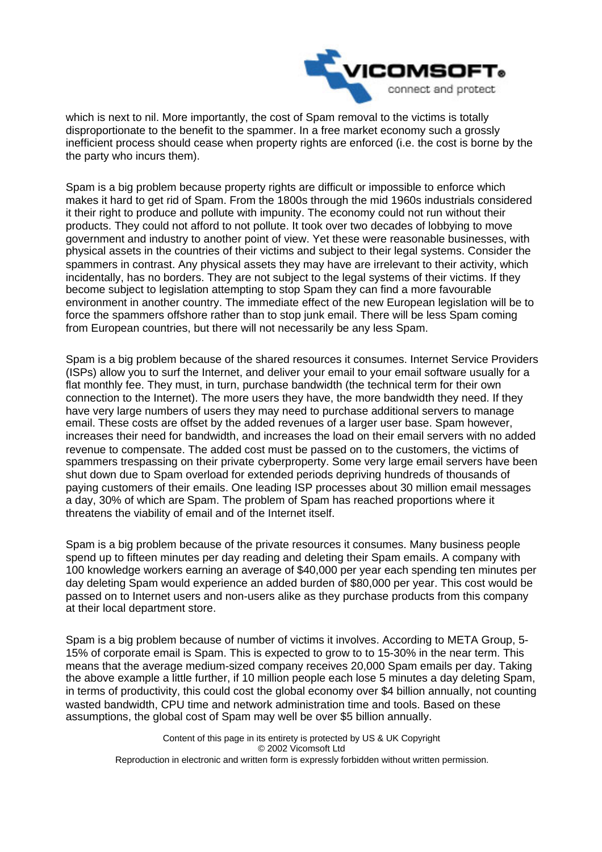

which is next to nil. More importantly, the cost of Spam removal to the victims is totally disproportionate to the benefit to the spammer. In a free market economy such a grossly inefficient process should cease when property rights are enforced (i.e. the cost is borne by the the party who incurs them).

Spam is a big problem because property rights are difficult or impossible to enforce which makes it hard to get rid of Spam. From the 1800s through the mid 1960s industrials considered it their right to produce and pollute with impunity. The economy could not run without their products. They could not afford to not pollute. It took over two decades of lobbying to move government and industry to another point of view. Yet these were reasonable businesses, with physical assets in the countries of their victims and subject to their legal systems. Consider the spammers in contrast. Any physical assets they may have are irrelevant to their activity, which incidentally, has no borders. They are not subject to the legal systems of their victims. If they become subject to legislation attempting to stop Spam they can find a more favourable environment in another country. The immediate effect of the new European legislation will be to force the spammers offshore rather than to stop junk email. There will be less Spam coming from European countries, but there will not necessarily be any less Spam.

Spam is a big problem because of the shared resources it consumes. Internet Service Providers (ISPs) allow you to surf the Internet, and deliver your email to your email software usually for a flat monthly fee. They must, in turn, purchase bandwidth (the technical term for their own connection to the Internet). The more users they have, the more bandwidth they need. If they have very large numbers of users they may need to purchase additional servers to manage email. These costs are offset by the added revenues of a larger user base. Spam however, increases their need for bandwidth, and increases the load on their email servers with no added revenue to compensate. The added cost must be passed on to the customers, the victims of spammers trespassing on their private cyberproperty. Some very large email servers have been shut down due to Spam overload for extended periods depriving hundreds of thousands of paying customers of their emails. One leading ISP processes about 30 million email messages a day, 30% of which are Spam. The problem of Spam has reached proportions where it threatens the viability of email and of the Internet itself.

Spam is a big problem because of the private resources it consumes. Many business people spend up to fifteen minutes per day reading and deleting their Spam emails. A company with 100 knowledge workers earning an average of \$40,000 per year each spending ten minutes per day deleting Spam would experience an added burden of \$80,000 per year. This cost would be passed on to Internet users and non-users alike as they purchase products from this company at their local department store.

Spam is a big problem because of number of victims it involves. According to META Group, 5- 15% of corporate email is Spam. This is expected to grow to to 15-30% in the near term. This means that the average medium-sized company receives 20,000 Spam emails per day. Taking the above example a little further, if 10 million people each lose 5 minutes a day deleting Spam, in terms of productivity, this could cost the global economy over \$4 billion annually, not counting wasted bandwidth, CPU time and network administration time and tools. Based on these assumptions, the global cost of Spam may well be over \$5 billion annually.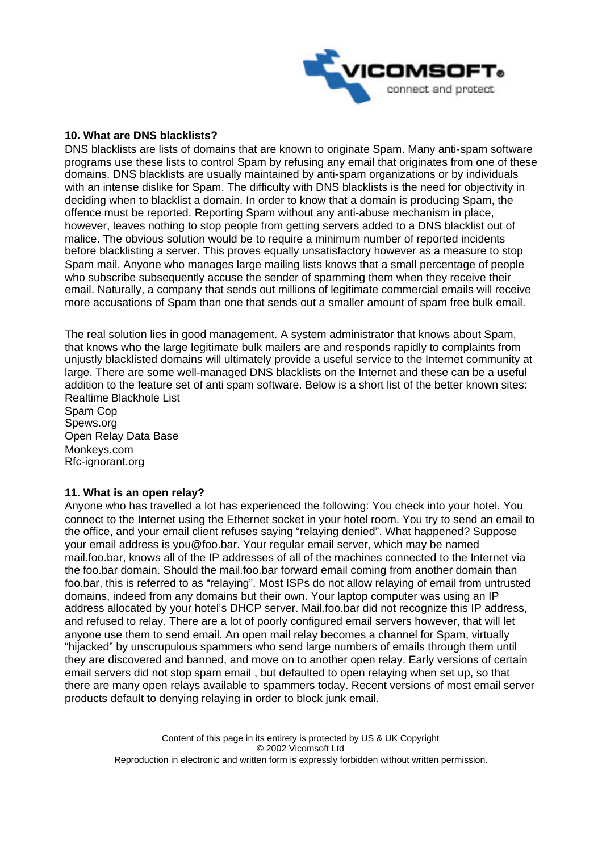

### **10. What are DNS blacklists?**

DNS blacklists are lists of domains that are known to originate Spam. Many anti-spam software programs use these lists to control Spam by refusing any email that originates from one of these domains. DNS blacklists are usually maintained by anti-spam organizations or by individuals with an intense dislike for Spam. The difficulty with DNS blacklists is the need for objectivity in deciding when to blacklist a domain. In order to know that a domain is producing Spam, the offence must be reported. Reporting Spam without any anti-abuse mechanism in place, however, leaves nothing to stop people from getting servers added to a DNS blacklist out of malice. The obvious solution would be to require a minimum number of reported incidents before blacklisting a server. This proves equally unsatisfactory however as a measure to stop Spam mail. Anyone who manages large mailing lists knows that a small percentage of people who subscribe subsequently accuse the sender of spamming them when they receive their email. Naturally, a company that sends out millions of legitimate commercial emails will receive more accusations of Spam than one that sends out a smaller amount of spam free bulk email.

The real solution lies in good management. A system administrator that knows about Spam, that knows who the large legitimate bulk mailers are and responds rapidly to complaints from unjustly blacklisted domains will ultimately provide a useful service to the Internet community at large. There are some well-managed DNS blacklists on the Internet and these can be a useful addition to the feature set of anti spam software. Below is a short list of the better known sites: Realtime Blackhole List

Spam Cop Spews.org Open Relay Data Base Monkeys.com Rfc-ignorant.org

#### **11. What is an open relay?**

Anyone who has travelled a lot has experienced the following: You check into your hotel. You connect to the Internet using the Ethernet socket in your hotel room. You try to send an email to the office, and your email client refuses saying "relaying denied". What happened? Suppose your email address is [you@foo.bar.](mailto:you@foo.bar) Your regular email server, which may be named mail.foo.bar, knows all of the IP addresses of all of the machines connected to the Internet via the foo.bar domain. Should the mail.foo.bar forward email coming from another domain than foo.bar, this is referred to as "relaying". Most ISPs do not allow relaying of email from untrusted domains, indeed from any domains but their own. Your laptop computer was using an IP address allocated by your hotel's DHCP server. Mail.foo.bar did not recognize this IP address, and refused to relay. There are a lot of poorly configured email servers however, that will let anyone use them to send email. An open mail relay becomes a channel for Spam, virtually "hijacked" by unscrupulous spammers who send large numbers of emails through them until they are discovered and banned, and move on to another open relay. Early versions of certain email servers did not stop spam email , but defaulted to open relaying when set up, so that there are many open relays available to spammers today. Recent versions of most email server products default to denying relaying in order to block junk email.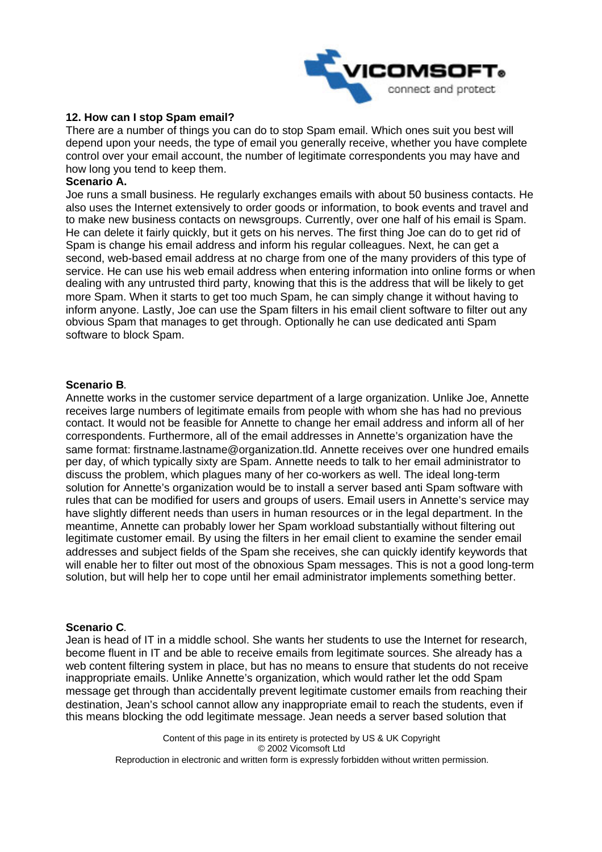

### **12. How can I stop Spam email?**

There are a number of things you can do to stop Spam email. Which ones suit you best will depend upon your needs, the type of email you generally receive, whether you have complete control over your email account, the number of legitimate correspondents you may have and how long you tend to keep them.

#### **Scenario A.**

Joe runs a small business. He regularly exchanges emails with about 50 business contacts. He also uses the Internet extensively to order goods or information, to book events and travel and to make new business contacts on newsgroups. Currently, over one half of his email is Spam. He can delete it fairly quickly, but it gets on his nerves. The first thing Joe can do to get rid of Spam is change his email address and inform his regular colleagues. Next, he can get a second, web-based email address at no charge from one of the many providers of this type of service. He can use his web email address when entering information into online forms or when dealing with any untrusted third party, knowing that this is the address that will be likely to get more Spam. When it starts to get too much Spam, he can simply change it without having to inform anyone. Lastly, Joe can use the Spam filters in his email client software to filter out any obvious Spam that manages to get through. Optionally he can use dedicated anti Spam software to block Spam.

#### **Scenario B**.

Annette works in the customer service department of a large organization. Unlike Joe, Annette receives large numbers of legitimate emails from people with whom she has had no previous contact. It would not be feasible for Annette to change her email address and inform all of her correspondents. Furthermore, all of the email addresses in Annette's organization have the same format: [firstname.lastname@organization.tld.](mailto:firstname.lastname@organization.tld) Annette receives over one hundred emails per day, of which typically sixty are Spam. Annette needs to talk to her email administrator to discuss the problem, which plagues many of her co-workers as well. The ideal long-term solution for Annette's organization would be to install a server based anti Spam software with rules that can be modified for users and groups of users. Email users in Annette's service may have slightly different needs than users in human resources or in the legal department. In the meantime, Annette can probably lower her Spam workload substantially without filtering out legitimate customer email. By using the filters in her email client to examine the sender email addresses and subject fields of the Spam she receives, she can quickly identify keywords that will enable her to filter out most of the obnoxious Spam messages. This is not a good long-term solution, but will help her to cope until her email administrator implements something better.

#### **Scenario C**.

Jean is head of IT in a middle school. She wants her students to use the Internet for research, become fluent in IT and be able to receive emails from legitimate sources. She already has a web content filtering system in place, but has no means to ensure that students do not receive inappropriate emails. Unlike Annette's organization, which would rather let the odd Spam message get through than accidentally prevent legitimate customer emails from reaching their destination, Jean's school cannot allow any inappropriate email to reach the students, even if this means blocking the odd legitimate message. Jean needs a server based solution that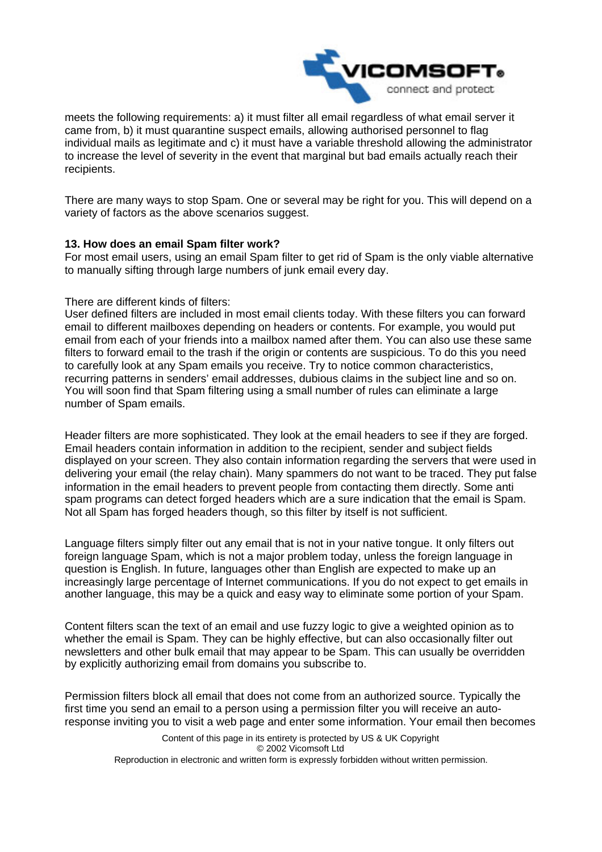

meets the following requirements: a) it must filter all email regardless of what email server it came from, b) it must quarantine suspect emails, allowing authorised personnel to flag individual mails as legitimate and c) it must have a variable threshold allowing the administrator to increase the level of severity in the event that marginal but bad emails actually reach their recipients.

There are many ways to stop Spam. One or several may be right for you. This will depend on a variety of factors as the above scenarios suggest.

### **13. How does an email Spam filter work?**

For most email users, using an email Spam filter to get rid of Spam is the only viable alternative to manually sifting through large numbers of junk email every day.

### There are different kinds of filters:

User defined filters are included in most email clients today. With these filters you can forward email to different mailboxes depending on headers or contents. For example, you would put email from each of your friends into a mailbox named after them. You can also use these same filters to forward email to the trash if the origin or contents are suspicious. To do this you need to carefully look at any Spam emails you receive. Try to notice common characteristics, recurring patterns in senders' email addresses, dubious claims in the subject line and so on. You will soon find that Spam filtering using a small number of rules can eliminate a large number of Spam emails.

Header filters are more sophisticated. They look at the email headers to see if they are forged. Email headers contain information in addition to the recipient, sender and subject fields displayed on your screen. They also contain information regarding the servers that were used in delivering your email (the relay chain). Many spammers do not want to be traced. They put false information in the email headers to prevent people from contacting them directly. Some anti spam programs can detect forged headers which are a sure indication that the email is Spam. Not all Spam has forged headers though, so this filter by itself is not sufficient.

Language filters simply filter out any email that is not in your native tongue. It only filters out foreign language Spam, which is not a major problem today, unless the foreign language in question is English. In future, languages other than English are expected to make up an increasingly large percentage of Internet communications. If you do not expect to get emails in another language, this may be a quick and easy way to eliminate some portion of your Spam.

Content filters scan the text of an email and use fuzzy logic to give a weighted opinion as to whether the email is Spam. They can be highly effective, but can also occasionally filter out newsletters and other bulk email that may appear to be Spam. This can usually be overridden by explicitly authorizing email from domains you subscribe to.

Permission filters block all email that does not come from an authorized source. Typically the first time you send an email to a person using a permission filter you will receive an autoresponse inviting you to visit a web page and enter some information. Your email then becomes